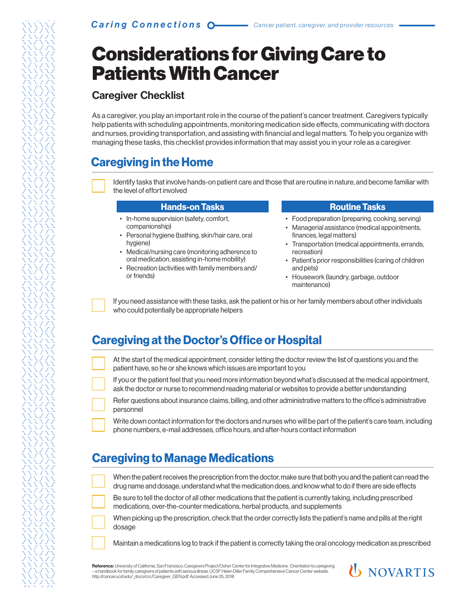# Considerations for Giving Care to Patients With Cancer

### Caregiver Checklist

As a caregiver, you play an important role in the course of the patient's cancer treatment. Caregivers typically help patients with scheduling appointments, monitoring medication side effects, communicating with doctors and nurses, providing transportation, and assisting with financial and legal matters. To help you organize with managing these tasks, this checklist provides information that may assist you in your role as a caregiver.

### **Caregiving in the Home**

Identify tasks that involve hands-on patient care and those that are routine in nature, and become familiar with the level of effort involved

#### **Hands-on Tasks**

- In-home supervision (safety, comfort, companionship)
- Personal hygiene (bathing, skin/hair care, oral hygiene)
- Medical/nursing care (monitoring adherence to oral medication, assisting in-home mobility)
- Recreation (activities with family members and/ or friends)

#### **Routine Tasks**

- Food preparation (preparing, cooking, serving)
- Managerial assistance (medical appointments, finances, legal matters)
- Transportation (medical appointments, errands, recreation)
- Patient's prior responsibilities (caring of children and pets)
- Housework (laundry, garbage, outdoor maintenance)

If you need assistance with these tasks, ask the patient or his or her family members about other individuals who could potentially be appropriate helpers

## **Caregiving at the Doctor's Office or Hospital**

| At the start of the medical appointment, consider letting the doctor review the list of questions you and the |
|---------------------------------------------------------------------------------------------------------------|
| patient have, so he or she knows which issues are important to you                                            |

If you or the patient feel that you need more information beyond what's discussed at the medical appointment, ask the doctor or nurse to recommend reading material or websites to provide a better understanding

Refer questions about insurance claims, billing, and other administrative matters to the office's administrative personnel

Write down contact information for the doctors and nurses who will be part of the patient's care team, including phone numbers, e-mail addresses, office hours, and after-hours contact information

## **Caregiving to Manage Medications**

When the patient receives the prescription from the doctor, make sure that both you and the patient can read the drug name and dosage, understand what the medication does, and know what to do if there are side effects

Be sure to tell the doctor of all other medications that the patient is currently taking, including prescribed medications, over-the-counter medications, herbal products, and supplements

When picking up the prescription, check that the order correctly lists the patient's name and pills at the right dosage

Maintain a medications log to track if the patient is correctly taking the oral oncology medication as prescribed

Reference: University of California, San Francisco, Caregivers Project/Osher Center for Integrative Medicine. Orientation to caregiving – a handbook for family caregivers of patients with serious illness. UCSF Helen Diller Family Comprehensive Cancer Center website. http://cancer.ucsf.edu/\_docs/crc/Caregiver\_GEN.pdf. Accessed June 25, 2018.